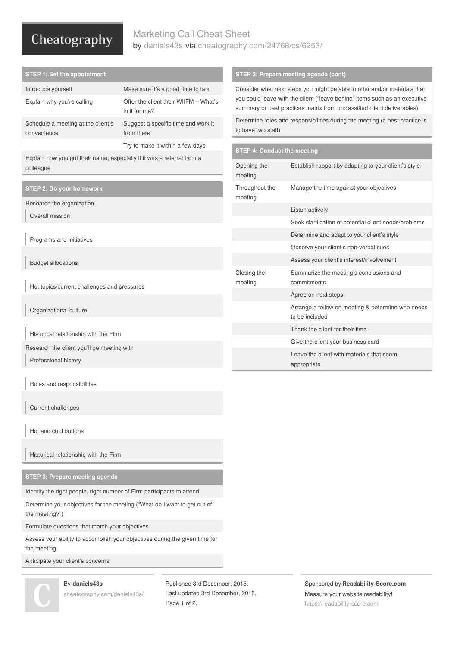# Cheatography

## Marketing Call Cheat Sheet by [daniels43s](http://www.cheatography.com/daniels43s/) via [cheatography.com/24768/cs/6253/](http://www.cheatography.com/daniels43s/cheat-sheets/marketing-call)

| <b>STEP 1: Set the appointment</b>                                                  |                                                        | STEP 3: Prepare meeting agenda (cont)                                                                                                                                                                                              |                                                                     |
|-------------------------------------------------------------------------------------|--------------------------------------------------------|------------------------------------------------------------------------------------------------------------------------------------------------------------------------------------------------------------------------------------|---------------------------------------------------------------------|
| Introduce yourself                                                                  | Make sure it's a good time to talk                     | Consider what next steps you might be able to offer and/or materials that<br>you could leave with the client ("leave behind" items such as an executive<br>summary or best practices matrix from unclassified client deliverables) |                                                                     |
| Explain why you're calling                                                          | Offer the client their WIIFM - What's<br>in it for me? |                                                                                                                                                                                                                                    |                                                                     |
| Schedule a meeting at the client's<br>convenience                                   | Suggest a specific time and work it<br>from there      | Determine roles and responsibilities during the meeting (a best practice is<br>to have two staff)                                                                                                                                  |                                                                     |
|                                                                                     | Try to make it within a few days                       | <b>STEP 4: Conduct the meeting</b>                                                                                                                                                                                                 |                                                                     |
| Explain how you got their name, especially if it was a referral from a<br>colleague |                                                        | Opening the<br>meeting                                                                                                                                                                                                             | Establish rapport by adapting to your client's style                |
| <b>STEP 2: Do your homework</b>                                                     |                                                        | Throughout the<br>meeting                                                                                                                                                                                                          | Manage the time against your objectives                             |
| Research the organization                                                           |                                                        |                                                                                                                                                                                                                                    | Listen actively                                                     |
| Overall mission                                                                     |                                                        |                                                                                                                                                                                                                                    | Seek clarification of potential client needs/problems               |
| Programs and initiatives                                                            |                                                        |                                                                                                                                                                                                                                    | Determine and adapt to your client's style                          |
|                                                                                     |                                                        |                                                                                                                                                                                                                                    | Observe your client's non-verbal cues                               |
| <b>Budget allocations</b>                                                           |                                                        |                                                                                                                                                                                                                                    | Assess your client's interest/involvement                           |
| Hot topics/current challenges and pressures                                         |                                                        | Closing the<br>meeting                                                                                                                                                                                                             | Summarize the meeting's conclusions and<br>commitments              |
|                                                                                     |                                                        |                                                                                                                                                                                                                                    | Agree on next steps                                                 |
| Organizational culture                                                              |                                                        |                                                                                                                                                                                                                                    | Arrange a follow on meeting & determine who needs<br>to be included |
| Historical relationship with the Firm                                               |                                                        |                                                                                                                                                                                                                                    | Thank the client for their time                                     |
| Research the client you'll be meeting with                                          |                                                        |                                                                                                                                                                                                                                    | Give the client your business card                                  |
| Professional history                                                                |                                                        |                                                                                                                                                                                                                                    | Leave the client with materials that seem<br>appropriate            |

Roles and responsibilities

Current challenges

Hot and cold buttons

Historical relationship with the Firm

**STEP 3: Prepare meeting agenda**

Identify the right people, right number of Firm participants to attend

Determine your objectives for the meeting ("What do I want to get out of the meeting?")

Formulate questions that match your objectives

Assess your ability to accomplish your objectives during the given time for the meeting

Anticipate your client's concerns



### By **daniels43s**

[cheatography.com/daniels43s/](http://www.cheatography.com/daniels43s/)

Published 3rd December, 2015. Last updated 3rd December, 2015. Page 1 of 2.

Sponsored by **Readability-Score.com** Measure your website readability! <https://readability-score.com>